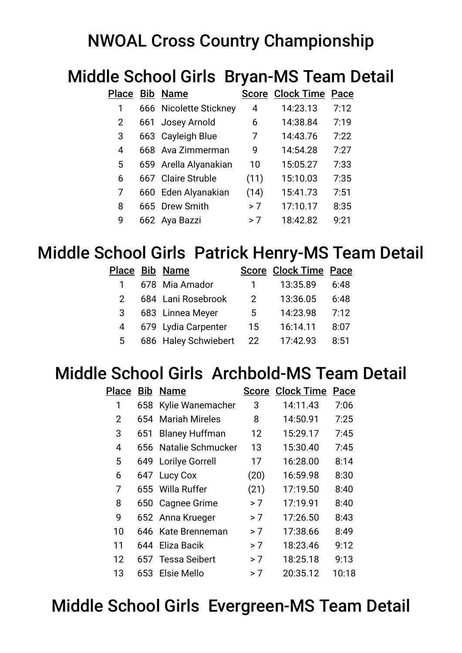# NWOAL Cross Country Championship

#### Middle School Girls Bryan-MS Team Detail

|                |     | Place Bib Name         |      | <b>Score Clock Time Pace</b> |      |
|----------------|-----|------------------------|------|------------------------------|------|
| 1              |     | 666 Nicolette Stickney | 4    | 14:23.13                     | 7:12 |
| $\overline{2}$ | 661 | Josey Arnold           | 6    | 14:38.84                     | 7:19 |
| 3              |     | 663 Cayleigh Blue      | 7    | 14:43.76                     | 7:22 |
| 4              |     | 668 Ava Zimmerman      | 9    | 14:54.28                     | 7:27 |
| 5              |     | 659 Arella Alyanakian  | 10   | 15:05.27                     | 7:33 |
| 6              |     | 667 Claire Struble     | (11) | 15:10.03                     | 7:35 |
| 7              |     | 660 Eden Alyanakian    | (14) | 15:41.73                     | 7:51 |
| 8              |     | 665 Drew Smith         | > 7  | 17:10.17                     | 8:35 |
| 9              |     | 662 Aya Bazzi          | > 7  | 18:42.82                     | 9:21 |

### Middle School Girls Patrick Henry-MS Team Detail

|              | Place Bib Name       |    | <b>Score Clock Time Pace</b> |      |
|--------------|----------------------|----|------------------------------|------|
| $\mathbf{1}$ | 678 Mia Amador       | 1  | 13:35.89                     | 6:48 |
|              | 684 Lani Rosebrook   | 2  | 13:36.05                     | 6:48 |
| 3            | 683 Linnea Meyer     | 5  | 14:23.98                     | 7:12 |
| 4            | 679 Lydia Carpenter  | 15 | 16:14.11                     | 8:07 |
| 5            | 686 Haley Schwiebert | 22 | 17:42.93                     | 8:51 |

## Middle School Girls Archbold-MS Team Detail

| P <u>lace</u> |     | <b>Bib Name</b>       | <b>Score</b> | <b>Clock Time</b> | Pace  |
|---------------|-----|-----------------------|--------------|-------------------|-------|
| 1             |     | 658 Kylie Wanemacher  | 3            | 14:11.43          | 7:06  |
| 2             |     | 654 Mariah Mireles    | 8            | 14:50.91          | 7:25  |
| 3             | 651 | <b>Blaney Huffman</b> | 12           | 15:29.17          | 7:45  |
| 4             |     | 656 Natalie Schmucker | 13           | 15:30.40          | 7:45  |
| 5             |     | 649 Lorilye Gorrell   | 17           | 16:28.00          | 8:14  |
| 6             |     | 647 Lucy Cox          | (20)         | 16:59.98          | 8:30  |
| 7             |     | 655 Willa Ruffer      | (21)         | 17:19.50          | 8:40  |
| 8             |     | 650 Cagnee Grime      | > 7          | 17:19.91          | 8:40  |
| 9             |     | 652 Anna Krueger      | > 7          | 17:26.50          | 8:43  |
| 10            |     | 646 Kate Brenneman    | > 7          | 17:38.66          | 8:49  |
| 11            |     | 644 Eliza Bacik       | > 7          | 18:23.46          | 9:12  |
| 12            |     | 657 Tessa Seibert     | > 7          | 18:25.18          | 9:13  |
| 13            | 653 | Elsie Mello           | > 7          | 20:35.12          | 10:18 |

#### Middle School Girls Evergreen-MS Team Detail